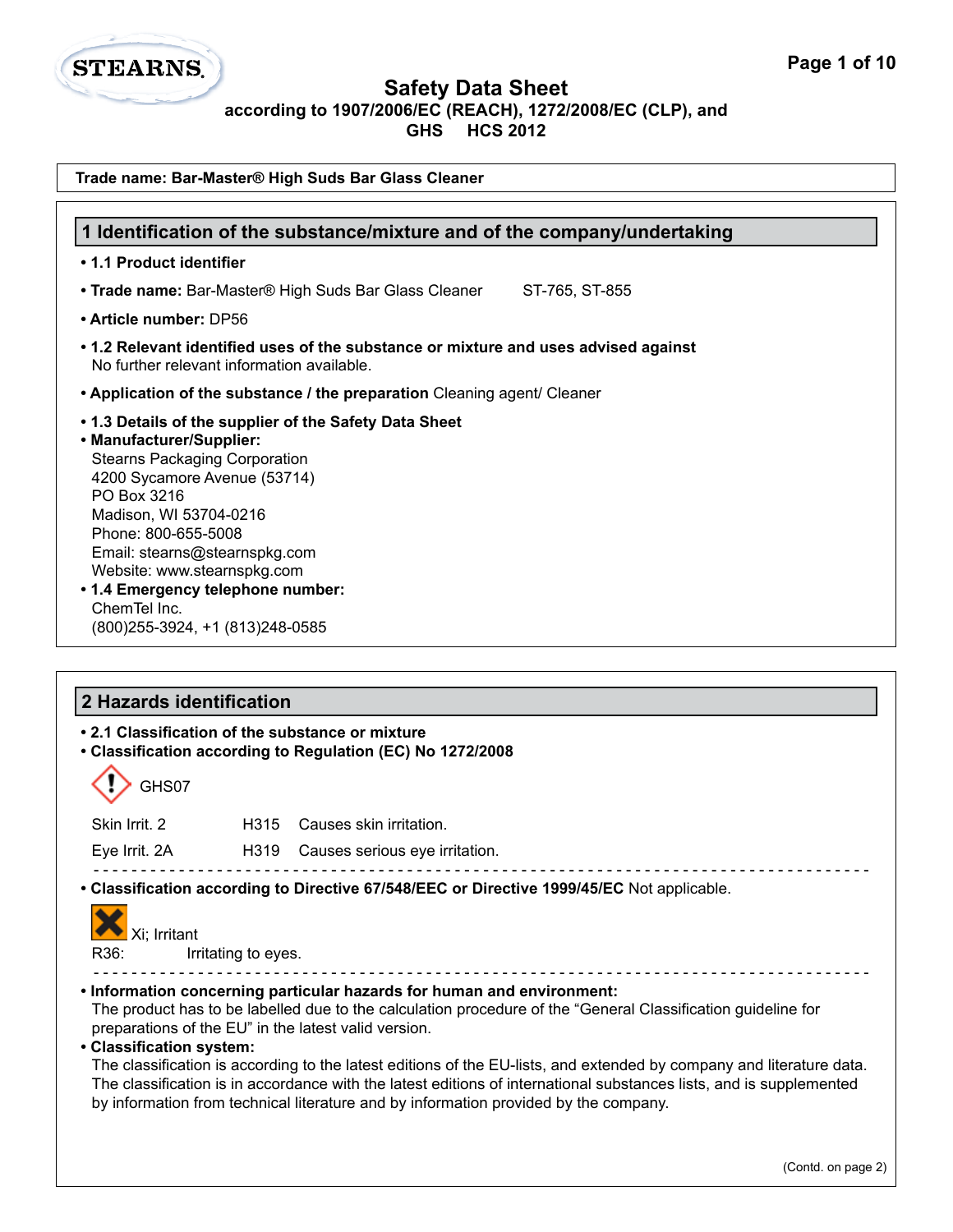

**GHS HCS 2012**

| Trade name: Bar-Master® High Suds Bar Glass Cleaner                                                                                                                                                                                                                                                                                                                                                                                                                                                                                                           |
|---------------------------------------------------------------------------------------------------------------------------------------------------------------------------------------------------------------------------------------------------------------------------------------------------------------------------------------------------------------------------------------------------------------------------------------------------------------------------------------------------------------------------------------------------------------|
| 1 Identification of the substance/mixture and of the company/undertaking                                                                                                                                                                                                                                                                                                                                                                                                                                                                                      |
| • 1.1 Product identifier                                                                                                                                                                                                                                                                                                                                                                                                                                                                                                                                      |
| • Trade name: Bar-Master® High Suds Bar Glass Cleaner<br>ST-765, ST-855                                                                                                                                                                                                                                                                                                                                                                                                                                                                                       |
| • Article number: DP56                                                                                                                                                                                                                                                                                                                                                                                                                                                                                                                                        |
| • 1.2 Relevant identified uses of the substance or mixture and uses advised against<br>No further relevant information available.                                                                                                                                                                                                                                                                                                                                                                                                                             |
| • Application of the substance / the preparation Cleaning agent/ Cleaner                                                                                                                                                                                                                                                                                                                                                                                                                                                                                      |
| .1.3 Details of the supplier of the Safety Data Sheet<br>• Manufacturer/Supplier:<br><b>Stearns Packaging Corporation</b><br>4200 Sycamore Avenue (53714)<br>PO Box 3216<br>Madison, WI 53704-0216<br>Phone: 800-655-5008<br>Email: stearns@stearnspkg.com<br>Website: www.stearnspkg.com<br>• 1.4 Emergency telephone number:<br>ChemTel Inc.<br>(800) 255-3924, +1 (813) 248-0585                                                                                                                                                                           |
| 2 Hazards identification                                                                                                                                                                                                                                                                                                                                                                                                                                                                                                                                      |
| • 2.1 Classification of the substance or mixture<br>• Classification according to Regulation (EC) No 1272/2008                                                                                                                                                                                                                                                                                                                                                                                                                                                |
| GHS07                                                                                                                                                                                                                                                                                                                                                                                                                                                                                                                                                         |
| Skin Irrit. 2<br>H315<br>Causes skin irritation.                                                                                                                                                                                                                                                                                                                                                                                                                                                                                                              |
| Eye Irrit. 2A<br>H319<br>Causes serious eye irritation.                                                                                                                                                                                                                                                                                                                                                                                                                                                                                                       |
| • Classification according to Directive 67/548/EEC or Directive 1999/45/EC Not applicable.<br>Xi; Irritant<br>R36:<br>Irritating to eyes.<br>. Information concerning particular hazards for human and environment:                                                                                                                                                                                                                                                                                                                                           |
| The product has to be labelled due to the calculation procedure of the "General Classification guideline for<br>preparations of the EU" in the latest valid version.<br>• Classification system:<br>The classification is according to the latest editions of the EU-lists, and extended by company and literature data.<br>The classification is in accordance with the latest editions of international substances lists, and is supplemented<br>by information from technical literature and by information provided by the company.<br>(Contd. on page 2) |
|                                                                                                                                                                                                                                                                                                                                                                                                                                                                                                                                                               |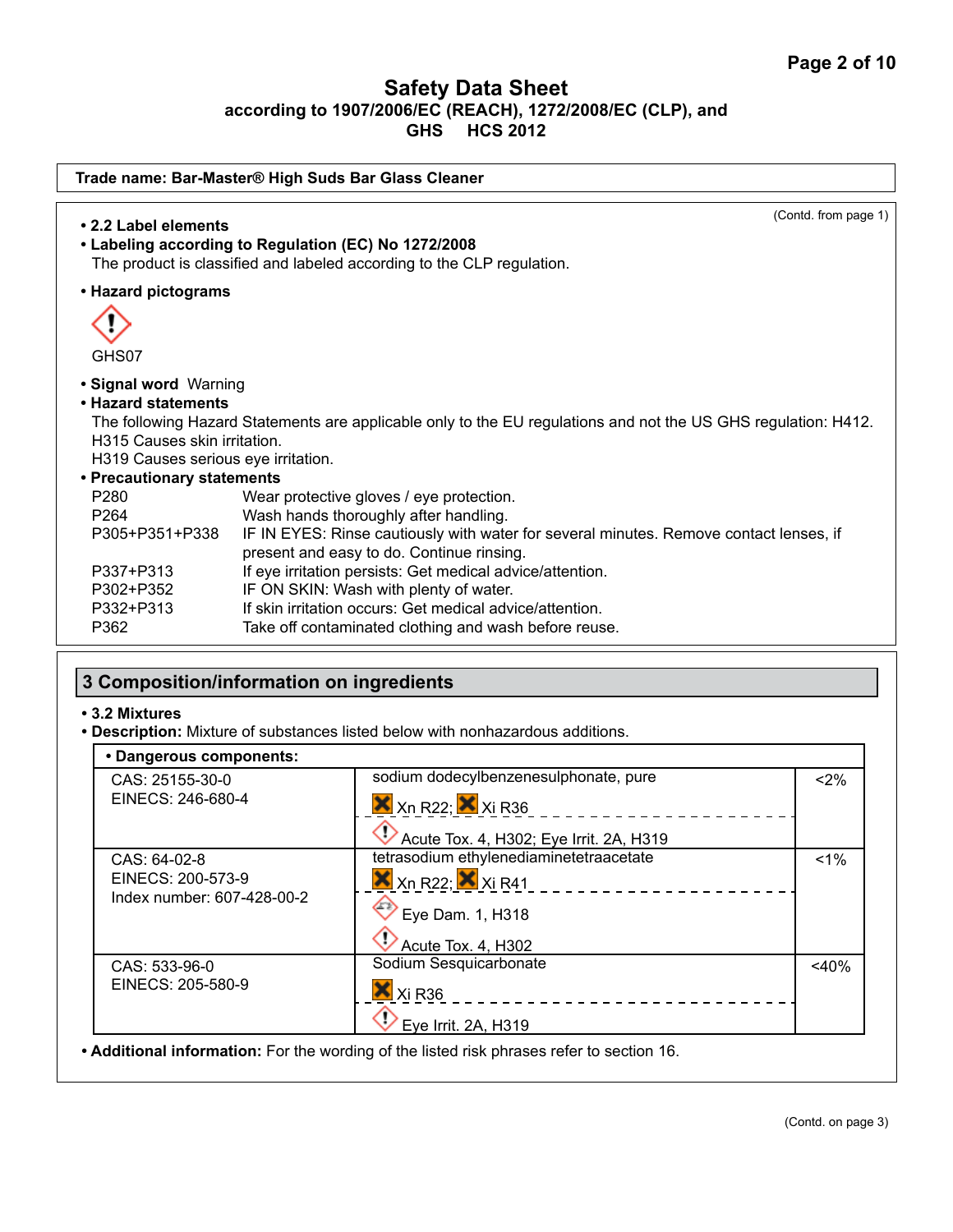| Trade name: Bar-Master® High Suds Bar Glass Cleaner                                                                                                                                                                                                        |                                                                                                                                                                                                                                                                                                                                                                                                                                                                                                                                                                        |  |
|------------------------------------------------------------------------------------------------------------------------------------------------------------------------------------------------------------------------------------------------------------|------------------------------------------------------------------------------------------------------------------------------------------------------------------------------------------------------------------------------------------------------------------------------------------------------------------------------------------------------------------------------------------------------------------------------------------------------------------------------------------------------------------------------------------------------------------------|--|
| • 2.2 Label elements                                                                                                                                                                                                                                       | (Contd. from page 1)<br>• Labeling according to Regulation (EC) No 1272/2008<br>The product is classified and labeled according to the CLP regulation.                                                                                                                                                                                                                                                                                                                                                                                                                 |  |
| • Hazard pictograms                                                                                                                                                                                                                                        |                                                                                                                                                                                                                                                                                                                                                                                                                                                                                                                                                                        |  |
| GHS07                                                                                                                                                                                                                                                      |                                                                                                                                                                                                                                                                                                                                                                                                                                                                                                                                                                        |  |
| • Signal word Warning<br>• Hazard statements<br>H315 Causes skin irritation.<br>H319 Causes serious eye irritation.<br>• Precautionary statements<br>P <sub>280</sub><br>P <sub>264</sub><br>P305+P351+P338<br>P337+P313<br>P302+P352<br>P332+P313<br>P362 | The following Hazard Statements are applicable only to the EU regulations and not the US GHS regulation: H412.<br>Wear protective gloves / eye protection.<br>Wash hands thoroughly after handling.<br>IF IN EYES: Rinse cautiously with water for several minutes. Remove contact lenses, if<br>present and easy to do. Continue rinsing.<br>If eye irritation persists: Get medical advice/attention.<br>IF ON SKIN: Wash with plenty of water.<br>If skin irritation occurs: Get medical advice/attention.<br>Take off contaminated clothing and wash before reuse. |  |

# **3 Composition/information on ingredients**

#### **• 3.2 Mixtures**

**• Description:** Mixture of substances listed below with nonhazardous additions.

| • Dangerous components:    |                                                                       |         |
|----------------------------|-----------------------------------------------------------------------|---------|
| CAS: 25155-30-0            | sodium dodecylbenzenesulphonate, pure                                 | < 2%    |
| EINECS: 246-680-4          | $X$ <sub>Xn</sub> R <sub>22</sub> ; $X$ <sub>Xi</sub> R <sub>36</sub> |         |
|                            | Acute Tox. 4, H302; Eye Irrit. 2A, H319                               |         |
| CAS: 64-02-8               | tetrasodium ethylenediaminetetraacetate                               | $1\%$   |
| EINECS: 200-573-9          | $X$ <sub>Xn</sub> R <sub>22</sub> ; $X$ <sub>Xi</sub> R <sub>41</sub> |         |
| Index number: 607-428-00-2 | $\heartsuit$ Eye Dam. 1, H318                                         |         |
|                            | Acute Tox. 4, H302                                                    |         |
| CAS: 533-96-0              | Sodium Sesquicarbonate                                                | $<$ 40% |
| EINECS: 205-580-9          | $\mathsf{X}$ Xi R36                                                   |         |
|                            | Eye Irrit. 2A, H319                                                   |         |

**• Additional information:** For the wording of the listed risk phrases refer to section 16.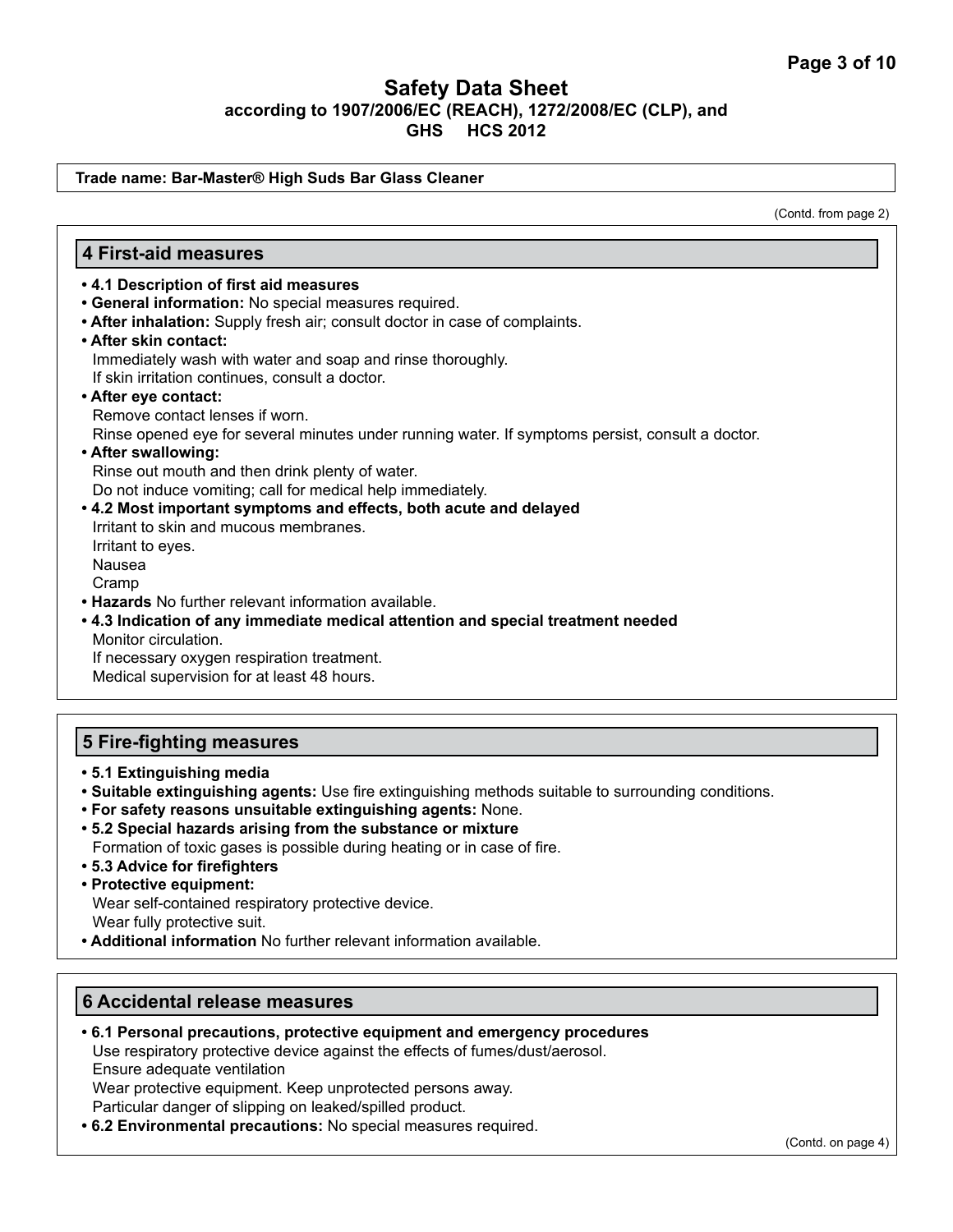#### **Trade name: Bar-Master® High Suds Bar Glass Cleaner**

(Contd. from page 2)

#### **4 First-aid measures**

- **4.1 Description of first aid measures**
- **General information:** No special measures required.
- **After inhalation:** Supply fresh air; consult doctor in case of complaints.
- **After skin contact:** Immediately wash with water and soap and rinse thoroughly. If skin irritation continues, consult a doctor.
- **After eye contact:**

Remove contact lenses if worn.

Rinse opened eye for several minutes under running water. If symptoms persist, consult a doctor.

**• After swallowing:** 

Rinse out mouth and then drink plenty of water. Do not induce vomiting; call for medical help immediately.

- **4.2 Most important symptoms and effects, both acute and delayed**  Irritant to skin and mucous membranes. Irritant to eyes. Nausea Cramp
- **Hazards** No further relevant information available.
- **4.3 Indication of any immediate medical attention and special treatment needed** Monitor circulation. If necessary oxygen respiration treatment.

Medical supervision for at least 48 hours.

#### **5 Fire-fighting measures**

- **5.1 Extinguishing media**
- **Suitable extinguishing agents:** Use fire extinguishing methods suitable to surrounding conditions.
- **For safety reasons unsuitable extinguishing agents:** None.
- **5.2 Special hazards arising from the substance or mixture** Formation of toxic gases is possible during heating or in case of fire.
- **5.3 Advice for firefighters**
- **Protective equipment:**

Wear self-contained respiratory protective device. Wear fully protective suit.

**• Additional information** No further relevant information available.

## **6 Accidental release measures**

- **6.1 Personal precautions, protective equipment and emergency procedures** Use respiratory protective device against the effects of fumes/dust/aerosol. Ensure adequate ventilation Wear protective equipment. Keep unprotected persons away. Particular danger of slipping on leaked/spilled product.
- **6.2 Environmental precautions:** No special measures required.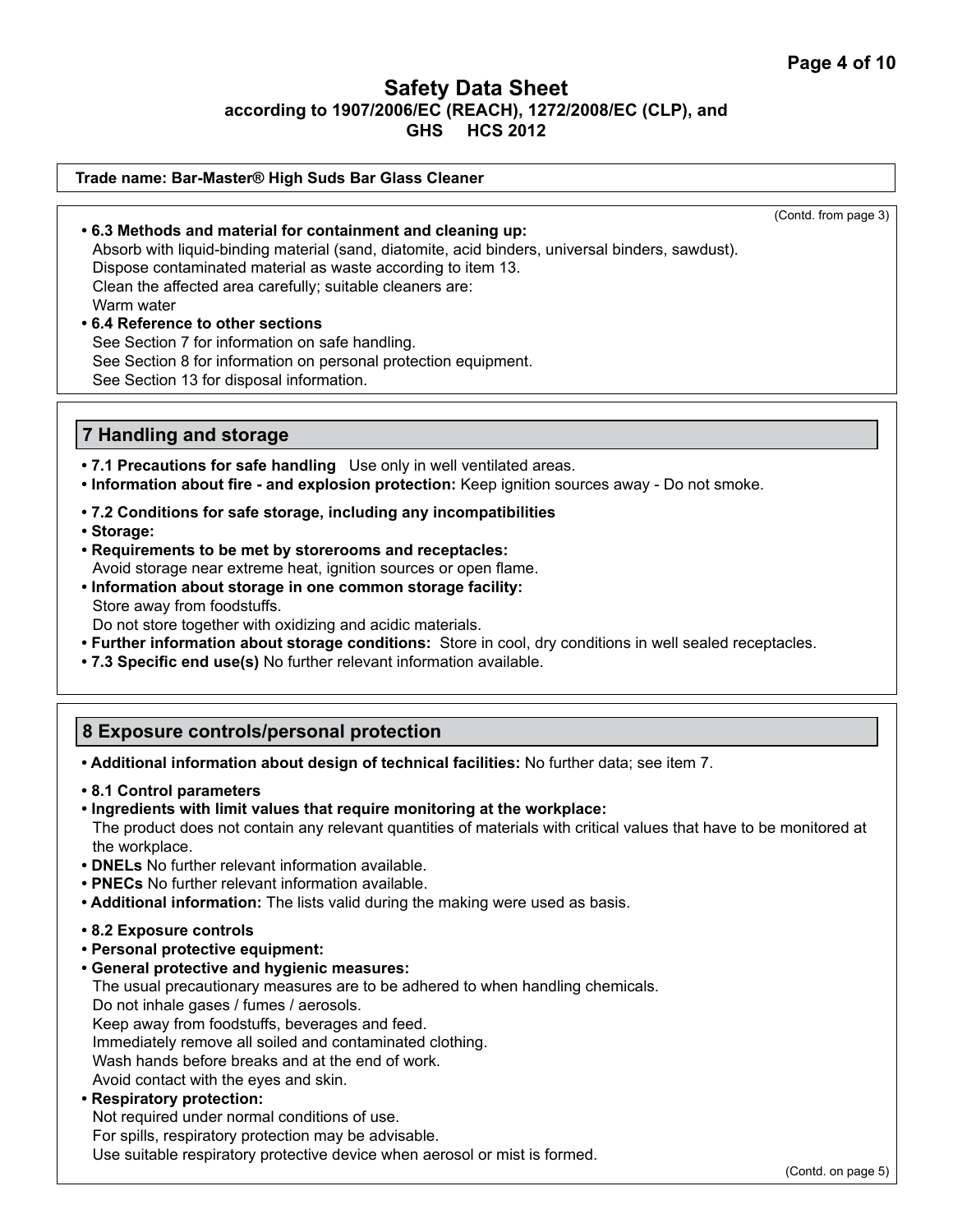#### **Trade name: Bar-Master® High Suds Bar Glass Cleaner**

(Contd. from page 3)

**• 6.3 Methods and material for containment and cleaning up:** Absorb with liquid-binding material (sand, diatomite, acid binders, universal binders, sawdust). Dispose contaminated material as waste according to item 13. Clean the affected area carefully; suitable cleaners are: Warm water

# **• 6.4 Reference to other sections** See Section 7 for information on safe handling.

See Section 8 for information on personal protection equipment.

See Section 13 for disposal information.

## **7 Handling and storage**

- **7.1 Precautions for safe handling** Use only in well ventilated areas.
- **Information about fire and explosion protection:** Keep ignition sources away Do not smoke.
- **7.2 Conditions for safe storage, including any incompatibilities**
- **Storage:**
- **Requirements to be met by storerooms and receptacles:** Avoid storage near extreme heat, ignition sources or open flame.
- **Information about storage in one common storage facility:** Store away from foodstuffs.

Do not store together with oxidizing and acidic materials.

- **Further information about storage conditions:** Store in cool, dry conditions in well sealed receptacles.
- **7.3 Specific end use(s)** No further relevant information available.

# **8 Exposure controls/personal protection**

**• Additional information about design of technical facilities:** No further data; see item 7.

- **8.1 Control parameters**
- **Ingredients with limit values that require monitoring at the workplace:** The product does not contain any relevant quantities of materials with critical values that have to be monitored at the workplace.
- **DNELs** No further relevant information available.
- **PNECs** No further relevant information available.
- **Additional information:** The lists valid during the making were used as basis.
- **8.2 Exposure controls**
- **Personal protective equipment:**
- **General protective and hygienic measures:**

The usual precautionary measures are to be adhered to when handling chemicals.

Do not inhale gases / fumes / aerosols.

Keep away from foodstuffs, beverages and feed.

Immediately remove all soiled and contaminated clothing.

Wash hands before breaks and at the end of work.

Avoid contact with the eyes and skin.

#### **• Respiratory protection:**

Not required under normal conditions of use.

For spills, respiratory protection may be advisable.

Use suitable respiratory protective device when aerosol or mist is formed.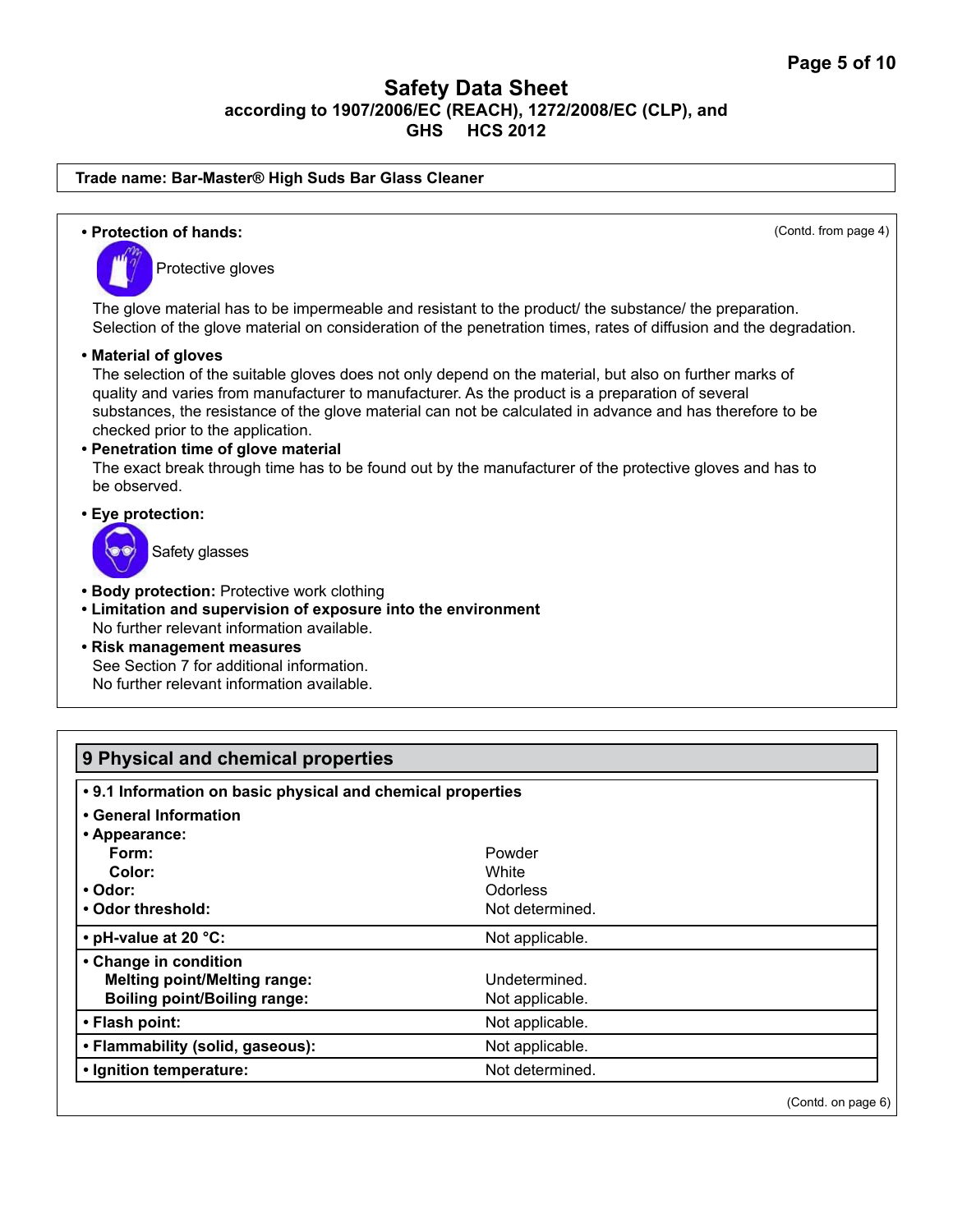#### **Trade name: Bar-Master® High Suds Bar Glass Cleaner**

**• Protection of hands:** (Contd. from page 4) Protective gloves The glove material has to be impermeable and resistant to the product/ the substance/ the preparation. Selection of the glove material on consideration of the penetration times, rates of diffusion and the degradation. **• Material of gloves** The selection of the suitable gloves does not only depend on the material, but also on further marks of quality and varies from manufacturer to manufacturer. As the product is a preparation of several substances, the resistance of the glove material can not be calculated in advance and has therefore to be checked prior to the application. **• Penetration time of glove material** The exact break through time has to be found out by the manufacturer of the protective gloves and has to be observed. **• Eye protection:**  Safety glasses **• Body protection:** Protective work clothing **• Limitation and supervision of exposure into the environment** No further relevant information available. **• Risk management measures** See Section 7 for additional information. No further relevant information available.

| 9 Physical and chemical properties                          |                 |  |
|-------------------------------------------------------------|-----------------|--|
| • 9.1 Information on basic physical and chemical properties |                 |  |
| • General Information                                       |                 |  |
| • Appearance:                                               |                 |  |
| Form:                                                       | Powder          |  |
| Color:                                                      | White           |  |
| • Odor:                                                     | <b>Odorless</b> |  |
| • Odor threshold:                                           | Not determined. |  |
| • pH-value at 20 °C:                                        | Not applicable. |  |
| • Change in condition                                       |                 |  |
| <b>Melting point/Melting range:</b>                         | Undetermined.   |  |
| <b>Boiling point/Boiling range:</b>                         | Not applicable. |  |
| • Flash point:                                              | Not applicable. |  |
| • Flammability (solid, gaseous):                            | Not applicable. |  |
| • Ignition temperature:                                     | Not determined. |  |

(Contd. on page 6)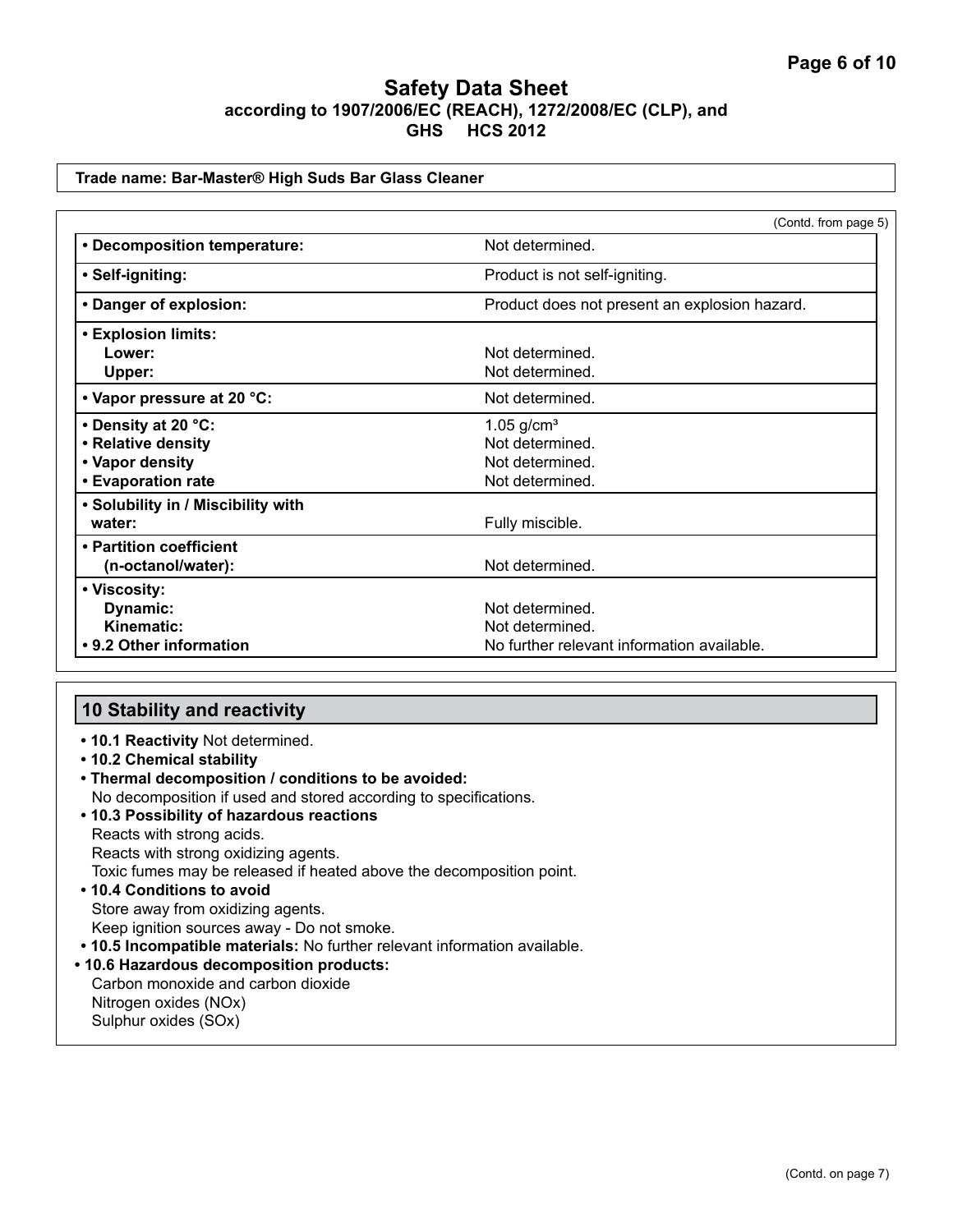#### **Trade name: Bar-Master® High Suds Bar Glass Cleaner**

|                                    | (Contd. from page 5)                          |
|------------------------------------|-----------------------------------------------|
| • Decomposition temperature:       | Not determined.                               |
| • Self-igniting:                   | Product is not self-igniting.                 |
| • Danger of explosion:             | Product does not present an explosion hazard. |
| <b>• Explosion limits:</b>         |                                               |
| Lower:                             | Not determined.                               |
| Upper:                             | Not determined.                               |
| • Vapor pressure at 20 °C:         | Not determined.                               |
| • Density at 20 °C:                | $1.05$ g/cm <sup>3</sup>                      |
| • Relative density                 | Not determined.                               |
| • Vapor density                    | Not determined.                               |
| <b>• Evaporation rate</b>          | Not determined.                               |
| • Solubility in / Miscibility with |                                               |
| water:                             | Fully miscible.                               |
| • Partition coefficient            |                                               |
| (n-octanol/water):                 | Not determined.                               |
| • Viscosity:                       |                                               |
| Dynamic:                           | Not determined.                               |
| Kinematic:                         | Not determined.                               |
| • 9.2 Other information            | No further relevant information available.    |

## **10 Stability and reactivity**

- **10.1 Reactivity** Not determined.
- **10.2 Chemical stability**
- **Thermal decomposition / conditions to be avoided:** No decomposition if used and stored according to specifications.
- **10.3 Possibility of hazardous reactions** Reacts with strong acids. Reacts with strong oxidizing agents. Toxic fumes may be released if heated above the decomposition point. **• 10.4 Conditions to avoid**  Store away from oxidizing agents. Keep ignition sources away - Do not smoke.
- **10.5 Incompatible materials:** No further relevant information available.
- **10.6 Hazardous decomposition products:**

Carbon monoxide and carbon dioxide Nitrogen oxides (NOx) Sulphur oxides (SOx)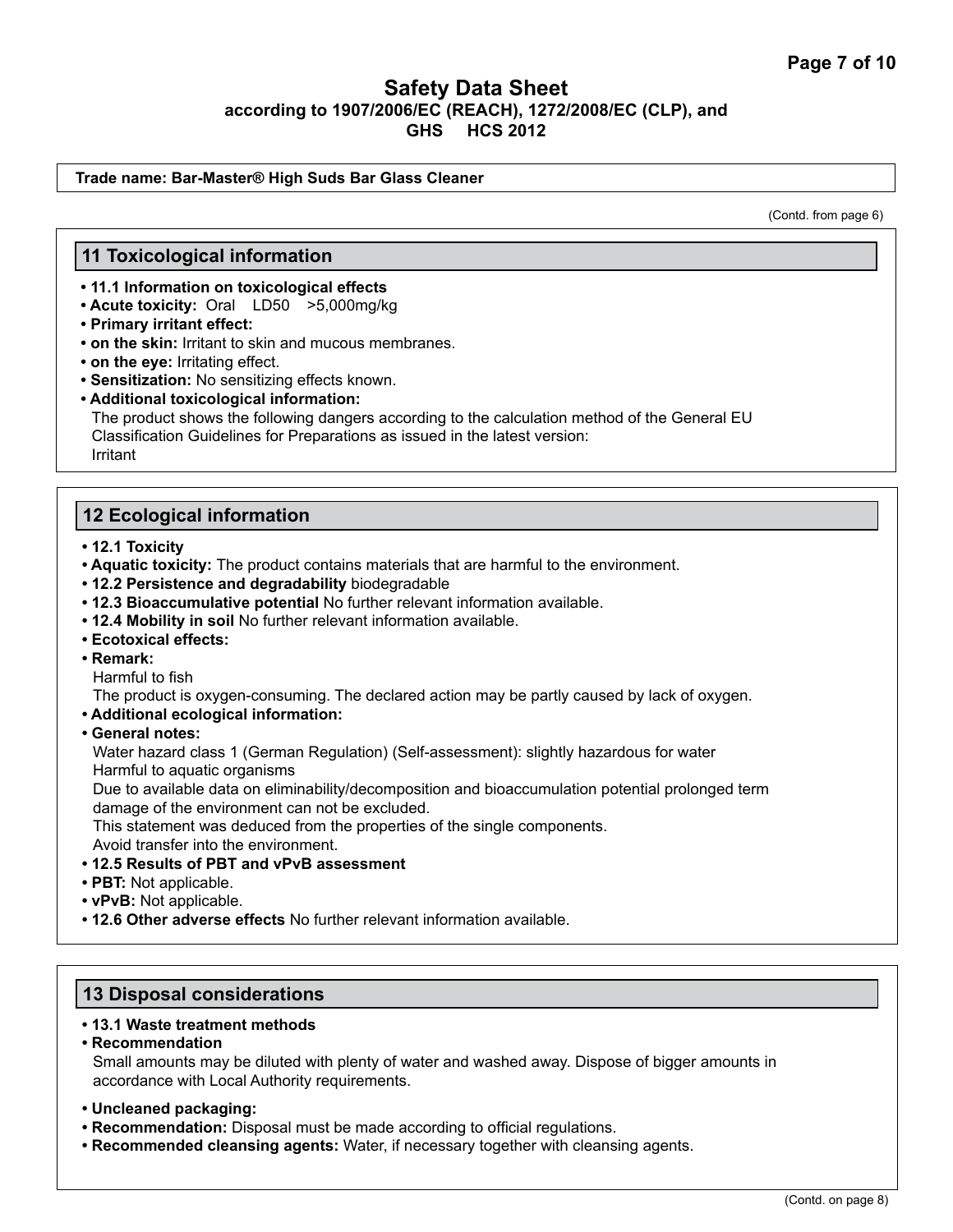#### **Trade name: Bar-Master® High Suds Bar Glass Cleaner**

(Contd. from page 6)

#### **11 Toxicological information**

- **11.1 Information on toxicological effects**
- **Acute toxicity:** Oral LD50 >5,000mg/kg
- **Primary irritant effect:**
- **on the skin:** Irritant to skin and mucous membranes.
- **on the eye:** Irritating effect.
- **Sensitization:** No sensitizing effects known.
- **Additional toxicological information:**

The product shows the following dangers according to the calculation method of the General EU Classification Guidelines for Preparations as issued in the latest version: Irritant

## **12 Ecological information**

- **12.1 Toxicity**
- **Aquatic toxicity:** The product contains materials that are harmful to the environment.
- **12.2 Persistence and degradability** biodegradable
- **12.3 Bioaccumulative potential** No further relevant information available.
- **12.4 Mobility in soil** No further relevant information available.
- **Ecotoxical effects:**
- **Remark:**

Harmful to fish

The product is oxygen-consuming. The declared action may be partly caused by lack of oxygen.

- **Additional ecological information:**
- **General notes:**

Water hazard class 1 (German Regulation) (Self-assessment): slightly hazardous for water Harmful to aquatic organisms

Due to available data on eliminability/decomposition and bioaccumulation potential prolonged term damage of the environment can not be excluded.

This statement was deduced from the properties of the single components.

Avoid transfer into the environment.

- **12.5 Results of PBT and vPvB assessment**
- **PBT:** Not applicable.
- **vPvB:** Not applicable.
- **12.6 Other adverse effects** No further relevant information available.

#### **13 Disposal considerations**

#### **• 13.1 Waste treatment methods**

- **Recommendation** Small amounts may be diluted with plenty of water and washed away. Dispose of bigger amounts in accordance with Local Authority requirements.
- **Uncleaned packaging:**
- **Recommendation:** Disposal must be made according to official regulations.
- **Recommended cleansing agents:** Water, if necessary together with cleansing agents.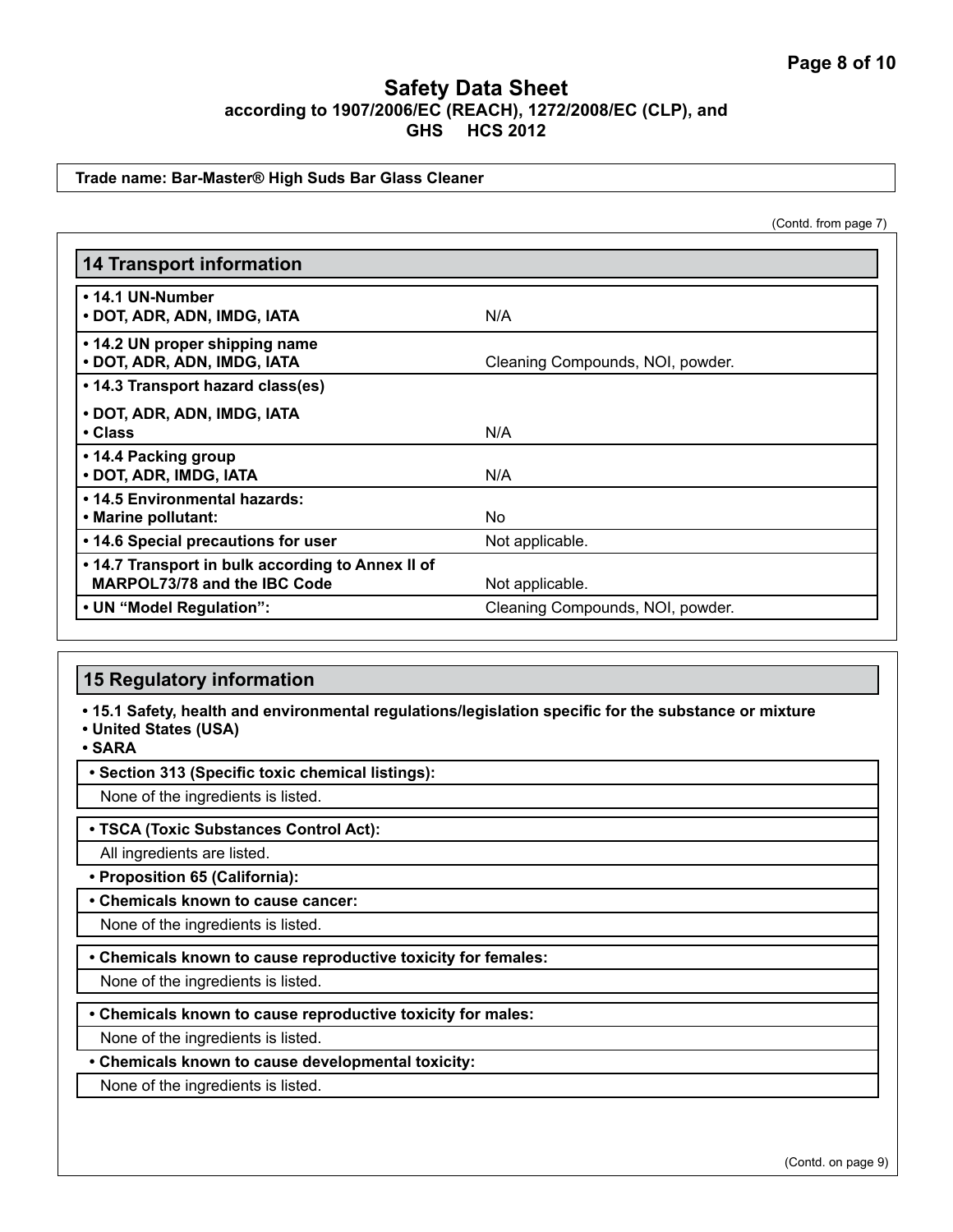#### **Trade name: Bar-Master® High Suds Bar Glass Cleaner**

(Contd. from page 7)

| <b>14 Transport information</b>                                                          |                                  |
|------------------------------------------------------------------------------------------|----------------------------------|
| • 14.1 UN-Number<br>• DOT, ADR, ADN, IMDG, IATA                                          | N/A                              |
| • 14.2 UN proper shipping name<br>• DOT, ADR, ADN, IMDG, IATA                            | Cleaning Compounds, NOI, powder. |
| • 14.3 Transport hazard class(es)                                                        |                                  |
| • DOT, ADR, ADN, IMDG, IATA<br>• Class                                                   | N/A                              |
| • 14.4 Packing group<br>· DOT, ADR, IMDG, IATA                                           | N/A                              |
| • 14.5 Environmental hazards:<br>• Marine pollutant:                                     | No.                              |
| • 14.6 Special precautions for user                                                      | Not applicable.                  |
| • 14.7 Transport in bulk according to Annex II of<br><b>MARPOL73/78 and the IBC Code</b> | Not applicable.                  |
| • UN "Model Regulation":                                                                 | Cleaning Compounds, NOI, powder. |

# **15 Regulatory information**

**• 15.1 Safety, health and environmental regulations/legislation specific for the substance or mixture**

**• United States (USA)**

**• SARA**

#### **• Section 313 (Specific toxic chemical listings):**

None of the ingredients is listed.

#### **• TSCA (Toxic Substances Control Act):**

All ingredients are listed.

**• Proposition 65 (California):**

#### **• Chemicals known to cause cancer:**

None of the ingredients is listed.

**• Chemicals known to cause reproductive toxicity for females:**

None of the ingredients is listed.

**• Chemicals known to cause reproductive toxicity for males:**

None of the ingredients is listed.

**• Chemicals known to cause developmental toxicity:**

None of the ingredients is listed.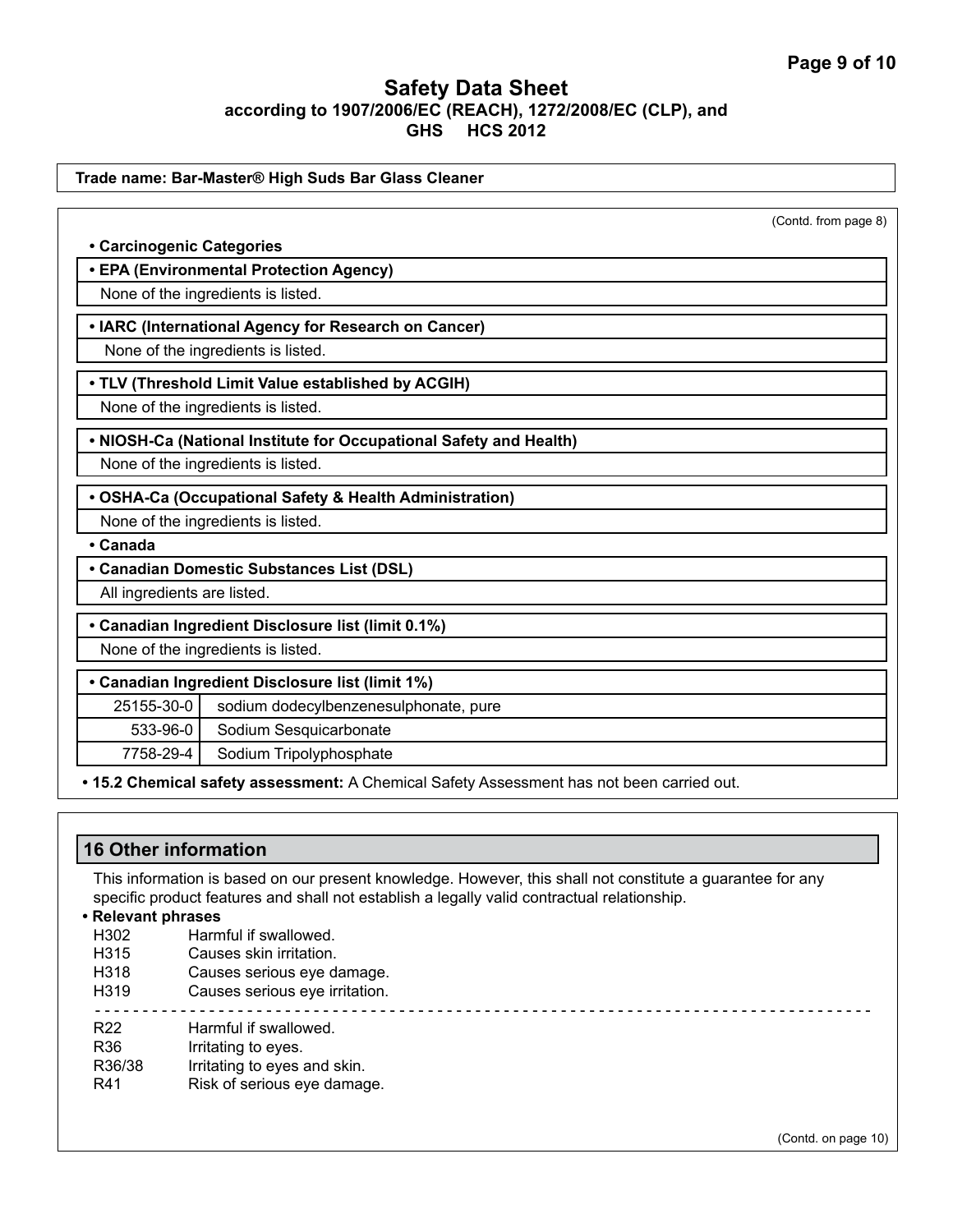|                             |                                                                    | (Contd. from page 8) |
|-----------------------------|--------------------------------------------------------------------|----------------------|
| • Carcinogenic Categories   |                                                                    |                      |
|                             | • EPA (Environmental Protection Agency)                            |                      |
|                             | None of the ingredients is listed.                                 |                      |
|                             | • IARC (International Agency for Research on Cancer)               |                      |
|                             | None of the ingredients is listed.                                 |                      |
|                             |                                                                    |                      |
|                             | . TLV (Threshold Limit Value established by ACGIH)                 |                      |
|                             | None of the ingredients is listed.                                 |                      |
|                             | . NIOSH-Ca (National Institute for Occupational Safety and Health) |                      |
|                             | None of the ingredients is listed.                                 |                      |
|                             | • OSHA-Ca (Occupational Safety & Health Administration)            |                      |
|                             | None of the ingredients is listed.                                 |                      |
| • Canada                    |                                                                    |                      |
|                             | • Canadian Domestic Substances List (DSL)                          |                      |
| All ingredients are listed. |                                                                    |                      |
|                             | • Canadian Ingredient Disclosure list (limit 0.1%)                 |                      |
|                             | None of the ingredients is listed.                                 |                      |
|                             | • Canadian Ingredient Disclosure list (limit 1%)                   |                      |
| 25155-30-0                  | sodium dodecylbenzenesulphonate, pure                              |                      |
| 533-96-0                    | Sodium Sesquicarbonate                                             |                      |
| 7758-29-4                   | Sodium Tripolyphosphate                                            |                      |

# **16 Other information**

This information is based on our present knowledge. However, this shall not constitute a guarantee for any specific product features and shall not establish a legally valid contractual relationship.

# **• Relevant phrases**

- Harmful if swallowed.
- H315 Causes skin irritation.
- H318 Causes serious eye damage.
- H319 Causes serious eye irritation.
- - - - - - - - - - - - - - - - - - - - - - - - - - - - - - - - - - - - - - - - - -
- R22 Harmful if swallowed.
- R36 Irritating to eyes.
- R36/38 Irritating to eyes and skin.
- R41 Risk of serious eye damage.

(Contd. on page 10)